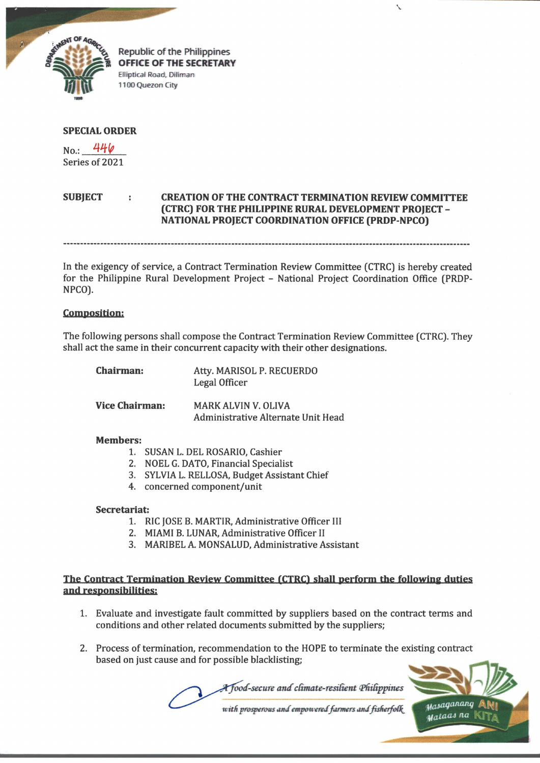

**Republic of the Philippines** OFFICE OF THE SECRETARY **Elliptical Road, Diliman 1100 Quezon City**

## **SPECIAL ORDER**

No.: *W ty* Series of 2021

## **SUBJECT : CREATION OF THE CONTRACT TERMINATION REVIEW COMMITTEE (CTRC) FOR THE PHILIPPINE RURAL DEVELOPMENT PROJECT - NATIONAL PROJECT COORDINATION OFFICE (PRDP-NPCO)**

V

In the exigency of service, a Contract Termination Review Committee (CTRC) is hereby created for the Philippine Rural Development Project - National Project Coordination Office (PRDP-NPCO).

#### **Composition:**

The following persons shall compose the Contract Termination Review Committee (CTRC). They shall act the same in their concurrent capacity with their other designations.

| <b>Chairman:</b>      | Atty. MARISOL P. RECUERDO<br>Legal Officer                       |
|-----------------------|------------------------------------------------------------------|
| <b>Vice Chairman:</b> | <b>MARK ALVIN V. OLIVA</b><br>Administrative Alternate Unit Head |

#### **Members:**

- 1. SUSAN L. DEL ROSARIO, Cashier
- 2. NOEL G. DATO, Financial Specialist
- 3. SYLVIA L. RELLOSA, Budget Assistant Chief
- 4. concerned component/unit

#### **Secretariat:**

- 1. RIC JOSE B. MARTIR, Administrative Officer III
- 2. MIAMI B. LUNAR, Administrative Officer II
- 3. MARIBEL A. MONSALUD, Administrative Assistant

# **The Contract Termination Review Committee (CTRC) shall perform the following duties and responsibilities:**

- 1. Evaluate and investigate fault committed by suppliers based on the contract terms and conditions and other related documents submitted by the suppliers;
- 2. Process of termination, recommendation to the HOPE to terminate the existing contract based on just cause and for possible blacklisting;